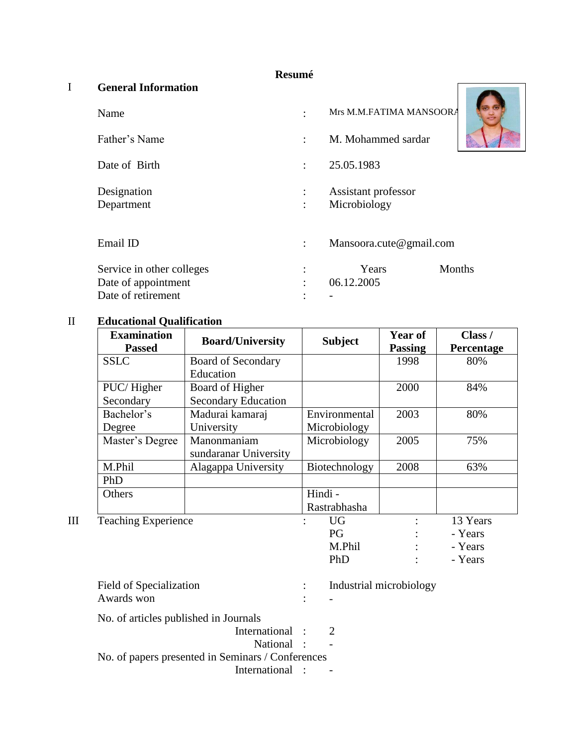#### **Resumé**

#### I **General Information**

| Name                                                                   |                      | Mrs M.M.FATIMA MANSOORA             |        |
|------------------------------------------------------------------------|----------------------|-------------------------------------|--------|
| Father's Name                                                          | ÷                    | M. Mohammed sardar                  |        |
| Date of Birth                                                          | $\ddot{\phantom{a}}$ | 25.05.1983                          |        |
| Designation<br>Department                                              | $\ddot{\cdot}$       | Assistant professor<br>Microbiology |        |
| Email ID                                                               | $\ddot{\cdot}$       | Mansoora.cute@gmail.com             |        |
| Service in other colleges<br>Date of appointment<br>Date of retirement | $\bullet$            | Years<br>06.12.2005                 | Months |

### II **Educational Qualification**

| <b>Examination</b><br><b>Passed</b> | <b>Board/University</b>    | <b>Subject</b> | <b>Year of</b><br><b>Passing</b> | Class /<br>Percentage |
|-------------------------------------|----------------------------|----------------|----------------------------------|-----------------------|
| <b>SSLC</b>                         | <b>Board of Secondary</b>  |                | 1998                             | 80%                   |
|                                     | Education                  |                |                                  |                       |
| PUC/Higher                          | Board of Higher            |                | 2000                             | 84%                   |
| Secondary                           | <b>Secondary Education</b> |                |                                  |                       |
| Bachelor's                          | Madurai kamaraj            | Environmental  | 2003                             | 80%                   |
| Degree                              | University                 | Microbiology   |                                  |                       |
| Master's Degree                     | Manonmaniam                | Microbiology   | 2005                             | 75%                   |
|                                     | sundaranar University      |                |                                  |                       |
| M.Phil                              | Alagappa University        | Biotechnology  | 2008                             | 63%                   |
| PhD                                 |                            |                |                                  |                       |
| Others                              |                            | Hindi -        |                                  |                       |
|                                     |                            | Rastrabhasha   |                                  |                       |
| <b>Teaching Experience</b>          |                            | <b>UG</b>      |                                  | 13 Years              |

| п | reaching Experience                               |   | UU                      | 15 rears |
|---|---------------------------------------------------|---|-------------------------|----------|
|   |                                                   |   | PG                      | - Years  |
|   |                                                   |   | M.Phil                  | - Years  |
|   |                                                   |   | PhD                     | - Years  |
|   | Field of Specialization                           | ÷ | Industrial microbiology |          |
|   | Awards won                                        |   |                         |          |
|   | No. of articles published in Journals             |   |                         |          |
|   | International :                                   |   | 2                       |          |
|   | National :                                        |   |                         |          |
|   | No. of papers presented in Seminars / Conferences |   |                         |          |
|   | International :                                   |   |                         |          |
|   |                                                   |   |                         |          |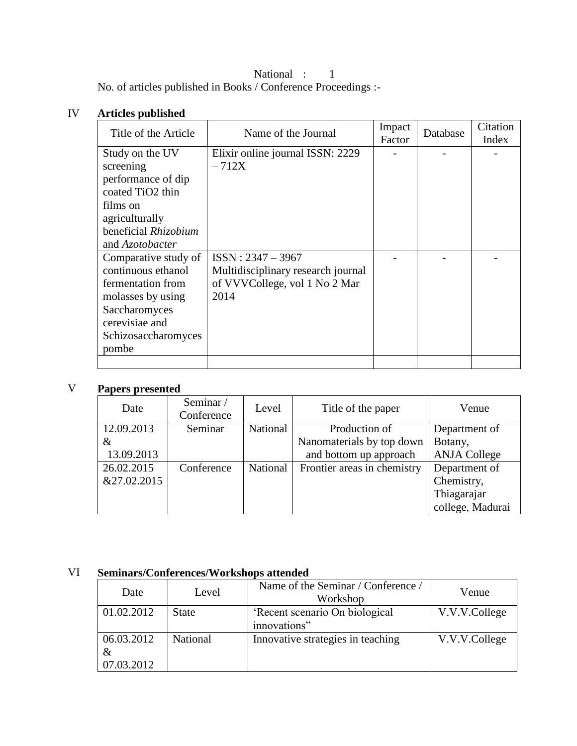National : 1 No. of articles published in Books / Conference Proceedings :-

#### IV **Articles published**

| Title of the Article | Name of the Journal                | Impact<br>Factor | Database | Citation<br>Index |
|----------------------|------------------------------------|------------------|----------|-------------------|
| Study on the UV      | Elixir online journal ISSN: 2229   |                  |          |                   |
| screening            | $-712X$                            |                  |          |                   |
| performance of dip   |                                    |                  |          |                   |
| coated TiO2 thin     |                                    |                  |          |                   |
| films on             |                                    |                  |          |                   |
| agriculturally       |                                    |                  |          |                   |
| beneficial Rhizobium |                                    |                  |          |                   |
| and Azotobacter      |                                    |                  |          |                   |
| Comparative study of | $ISSN: 2347 - 3967$                |                  |          |                   |
| continuous ethanol   | Multidisciplinary research journal |                  |          |                   |
| fermentation from    | of VVVCollege, vol 1 No 2 Mar      |                  |          |                   |
| molasses by using    | 2014                               |                  |          |                   |
| Saccharomyces        |                                    |                  |          |                   |
| cerevisiae and       |                                    |                  |          |                   |
| Schizosaccharomyces  |                                    |                  |          |                   |
| pombe                |                                    |                  |          |                   |
|                      |                                    |                  |          |                   |

## V **Papers presented**

| Date        | Seminar/<br>Conference | Level    | Title of the paper          | Venue               |
|-------------|------------------------|----------|-----------------------------|---------------------|
| 12.09.2013  | Seminar                | National | Production of               | Department of       |
| &           |                        |          | Nanomaterials by top down   | Botany,             |
| 13.09.2013  |                        |          | and bottom up approach      | <b>ANJA College</b> |
| 26.02.2015  | Conference             | National | Frontier areas in chemistry | Department of       |
| &27.02.2015 |                        |          |                             | Chemistry,          |
|             |                        |          |                             | Thiagarajar         |
|             |                        |          |                             | college, Madurai    |

## VI **Seminars/Conferences/Workshops attended**

| Date       | Level        | Name of the Seminar / Conference /<br>Workshop | Venue         |
|------------|--------------|------------------------------------------------|---------------|
| 01.02.2012 | <b>State</b> | 'Recent scenario On biological                 | V.V.V.College |
|            |              | innovations"                                   |               |
| 06.03.2012 | National     | Innovative strategies in teaching              | V.V.V.College |
| $\&$       |              |                                                |               |
| 07.03.2012 |              |                                                |               |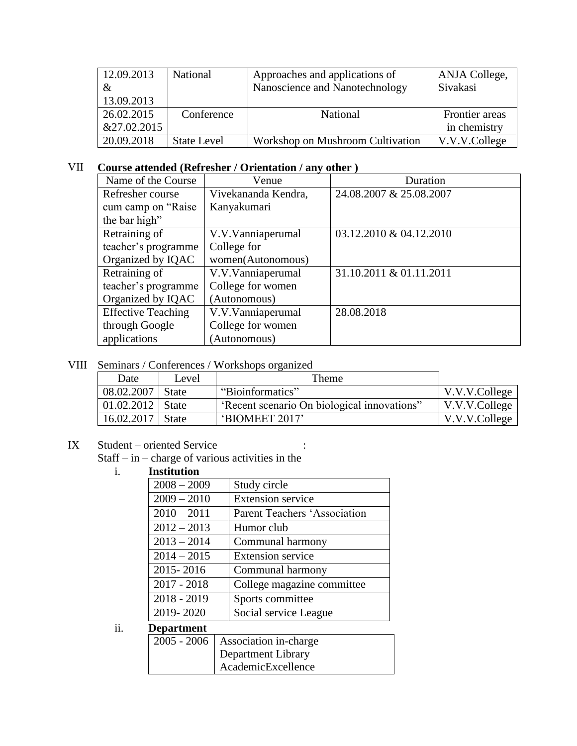| 12.09.2013  | <b>National</b>    | Approaches and applications of   | ANJA College,  |
|-------------|--------------------|----------------------------------|----------------|
| &           |                    | Nanoscience and Nanotechnology   | Sivakasi       |
| 13.09.2013  |                    |                                  |                |
| 26.02.2015  | Conference         | <b>National</b>                  | Frontier areas |
| &27.02.2015 |                    |                                  | in chemistry   |
| 20.09.2018  | <b>State Level</b> | Workshop on Mushroom Cultivation | V.V.V.College  |

#### VII **Course attended (Refresher / Orientation / any other )**

| Name of the Course        | Venue               | Duration                |
|---------------------------|---------------------|-------------------------|
| Refresher course          | Vivekananda Kendra, | 24.08.2007 & 25.08.2007 |
| cum camp on "Raise"       | Kanyakumari         |                         |
| the bar high"             |                     |                         |
| Retraining of             | V.V.Vanniaperumal   | 03.12.2010 & 04.12.2010 |
| teacher's programme       | College for         |                         |
| Organized by IQAC         | women(Autonomous)   |                         |
| Retraining of             | V.V.Vanniaperumal   | 31.10.2011 & 01.11.2011 |
| teacher's programme       | College for women   |                         |
| Organized by IQAC         | (Autonomous)        |                         |
| <b>Effective Teaching</b> | V.V.Vanniaperumal   | 28.08.2018              |
| through Google            | College for women   |                         |
| applications              | (Autonomous)        |                         |

VIII Seminars / Conferences / Workshops organized

| Date               | Level        | Theme                                       |                |
|--------------------|--------------|---------------------------------------------|----------------|
| 08.02.2007         | <b>State</b> | "Bioinformatics"                            | V.V.V.College  |
| 01.02.2012   State |              | 'Recent scenario On biological innovations" | V.V.V. College |
| 16.02.2017         | <b>State</b> | 'BIOMEET 2017'                              | V.V.V.College  |

# IX Student – oriented Service :

Staff – in – charge of various activities in the

# i. **Institution**

| $2008 - 2009$ | Study circle                 |
|---------------|------------------------------|
| $2009 - 2010$ | <b>Extension service</b>     |
| $2010 - 2011$ | Parent Teachers 'Association |
| $2012 - 2013$ | Humor club                   |
| $2013 - 2014$ | Communal harmony             |
| $2014 - 2015$ | <b>Extension service</b>     |
| 2015-2016     | Communal harmony             |
| $2017 - 2018$ | College magazine committee   |
| $2018 - 2019$ | Sports committee             |
| 2019-2020     | Social service League        |
| Denartment    |                              |

# ii. **Department**

| $2005 - 2006$ Association in-charge |
|-------------------------------------|
| Department Library                  |
| AcademicExcellence                  |